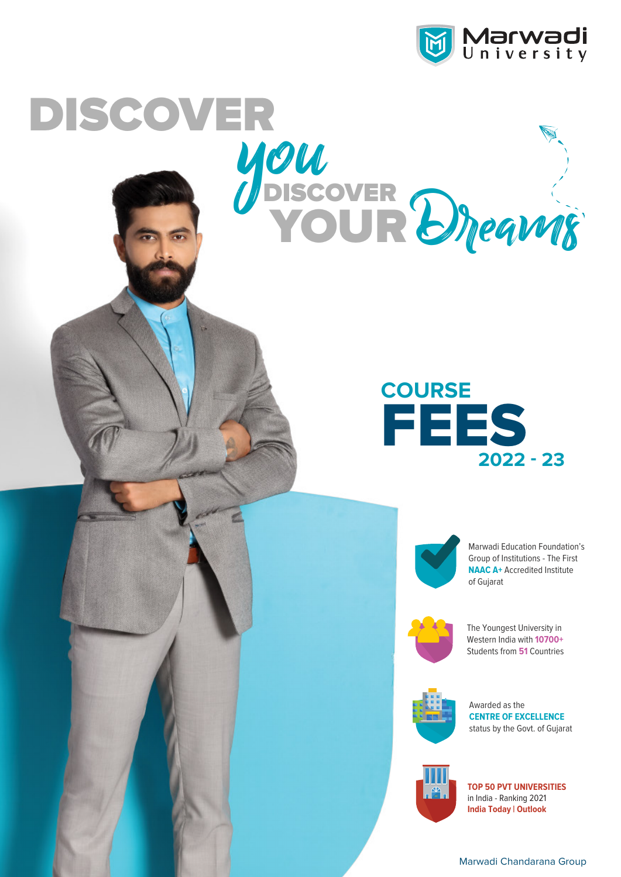

## **you**<br>*you*<br>//discover DISCOVER





YOUR Dreams

Marwadi Education Foundation's Group of Institutions - The First **NAAC A+ Accredited Institute** of Gujarat



The Youngest University in Western India with **10700+** Students from **51** Countries



Awarded as the **CENTRE OF EXCELLENCE** status by the Govt. of Gujarat





Marwadi Chandarana Group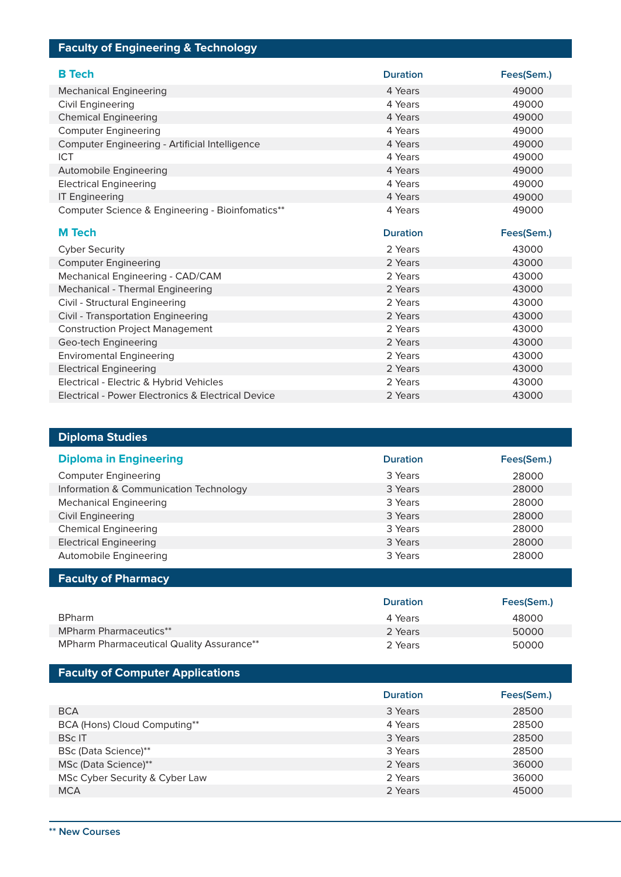## **Faculty of Engineering & Technology**

| <b>B</b> Tech                                      | <b>Duration</b> | Fees(Sem.) |
|----------------------------------------------------|-----------------|------------|
| <b>Mechanical Engineering</b>                      | 4 Years         | 49000      |
| Civil Engineering                                  | 4 Years         | 49000      |
| <b>Chemical Engineering</b>                        | 4 Years         | 49000      |
| <b>Computer Engineering</b>                        | 4 Years         | 49000      |
| Computer Engineering - Artificial Intelligence     | 4 Years         | 49000      |
| ICT                                                | 4 Years         | 49000      |
| Automobile Engineering                             | 4 Years         | 49000      |
| <b>Electrical Engineering</b>                      | 4 Years         | 49000      |
| <b>IT Engineering</b>                              | 4 Years         | 49000      |
| Computer Science & Engineering - Bioinfomatics**   | 4 Years         | 49000      |
| <b>M</b> Tech                                      | <b>Duration</b> | Fees(Sem.) |
| <b>Cyber Security</b>                              | 2 Years         | 43000      |
| <b>Computer Engineering</b>                        | 2 Years         | 43000      |
| Mechanical Engineering - CAD/CAM                   | 2 Years         | 43000      |
| Mechanical - Thermal Engineering                   | 2 Years         | 43000      |
| Civil - Structural Engineering                     | 2 Years         | 43000      |
| Civil - Transportation Engineering                 | 2 Years         | 43000      |
| <b>Construction Project Management</b>             | 2 Years         | 43000      |
| Geo-tech Engineering                               | 2 Years         | 43000      |
| <b>Enviromental Engineering</b>                    | 2 Years         | 43000      |
| <b>Electrical Engineering</b>                      | 2 Years         | 43000      |
| Electrical - Electric & Hybrid Vehicles            | 2 Years         | 43000      |
| Electrical - Power Electronics & Electrical Device | 2 Years         | 43000      |

| <b>Diploma Studies</b>                 |                 |            |
|----------------------------------------|-----------------|------------|
| <b>Diploma in Engineering</b>          | <b>Duration</b> | Fees(Sem.) |
| <b>Computer Engineering</b>            | 3 Years         | 28000      |
| Information & Communication Technology | 3 Years         | 28000      |
| <b>Mechanical Engineering</b>          | 3 Years         | 28000      |
| <b>Civil Engineering</b>               | 3 Years         | 28000      |
| <b>Chemical Engineering</b>            | 3 Years         | 28000      |
| <b>Electrical Engineering</b>          | 3 Years         | 28000      |
| Automobile Engineering                 | 3 Years         | 28000      |

|  |  | <b>Faculty of Pharmacy</b> |
|--|--|----------------------------|
|--|--|----------------------------|

|                                                  | <b>Duration</b> | Fees(Sem.) |
|--------------------------------------------------|-----------------|------------|
| <b>BPharm</b>                                    | 4 Years         | 48000      |
| <b>MPharm Pharmaceutics**</b>                    | 2 Years         | 50000      |
| <b>MPharm Pharmaceutical Quality Assurance**</b> | 2 Years         | 50000      |

## **Faculty of Computer Applications**

|                                | <b>Duration</b> | Fees(Sem.) |
|--------------------------------|-----------------|------------|
| <b>BCA</b>                     | 3 Years         | 28500      |
| BCA (Hons) Cloud Computing**   | 4 Years         | 28500      |
| <b>BScIT</b>                   | 3 Years         | 28500      |
| BSc (Data Science)**           | 3 Years         | 28500      |
| MSc (Data Science)**           | 2 Years         | 36000      |
| MSc Cyber Security & Cyber Law | 2 Years         | 36000      |
| <b>MCA</b>                     | 2 Years         | 45000      |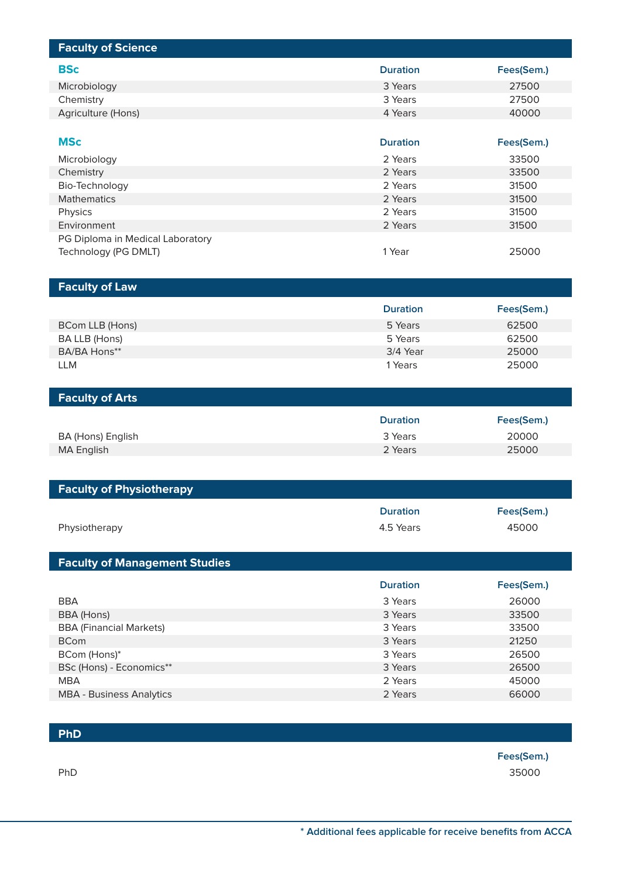| <b>Faculty of Science</b>            |                 |            |
|--------------------------------------|-----------------|------------|
| <b>BSc</b>                           | <b>Duration</b> | Fees(Sem.) |
| Microbiology                         | 3 Years         | 27500      |
| Chemistry                            | 3 Years         | 27500      |
| Agriculture (Hons)                   | 4 Years         | 40000      |
|                                      |                 |            |
| <b>MSc</b>                           | <b>Duration</b> | Fees(Sem.) |
| Microbiology                         | 2 Years         | 33500      |
| Chemistry                            | 2 Years         | 33500      |
| Bio-Technology                       | 2 Years         | 31500      |
| <b>Mathematics</b>                   | 2 Years         | 31500      |
| Physics                              | 2 Years         | 31500      |
| Environment                          | 2 Years         | 31500      |
| PG Diploma in Medical Laboratory     | 1 Year          | 25000      |
| Technology (PG DMLT)                 |                 |            |
|                                      |                 |            |
| <b>Faculty of Law</b>                |                 |            |
|                                      | <b>Duration</b> | Fees(Sem.) |
| BCom LLB (Hons)                      | 5 Years         | 62500      |
| BA LLB (Hons)                        | 5 Years         | 62500      |
| BA/BA Hons**                         | 3/4 Year        | 25000      |
| <b>LLM</b>                           | 1 Years         | 25000      |
|                                      |                 |            |
|                                      |                 |            |
| <b>Faculty of Arts</b>               |                 |            |
|                                      | <b>Duration</b> | Fees(Sem.) |
| BA (Hons) English                    | 3 Years         | 20000      |
| <b>MA English</b>                    | 2 Years         | 25000      |
|                                      |                 |            |
|                                      |                 |            |
| <b>Faculty of Physiotherapy</b>      |                 |            |
|                                      | <b>Duration</b> | Fees(Sem.) |
| Physiotherapy                        | 4.5 Years       | 45000      |
|                                      |                 |            |
| <b>Faculty of Management Studies</b> |                 |            |
|                                      | <b>Duration</b> | Fees(Sem.) |
| <b>BBA</b>                           | 3 Years         | 26000      |
| BBA (Hons)                           | 3 Years         | 33500      |
| <b>BBA</b> (Financial Markets)       | 3 Years         | 33500      |
| <b>BCom</b>                          | 3 Years         | 21250      |
| BCom (Hons)*                         | 3 Years         | 26500      |
| BSc (Hons) - Economics**             | 3 Years         | 26500      |
| <b>MBA</b>                           | 2 Years         | 45000      |
| <b>MBA - Business Analytics</b>      | 2 Years         | 66000      |

**PhD**

**Fees(Sem.)** 35000